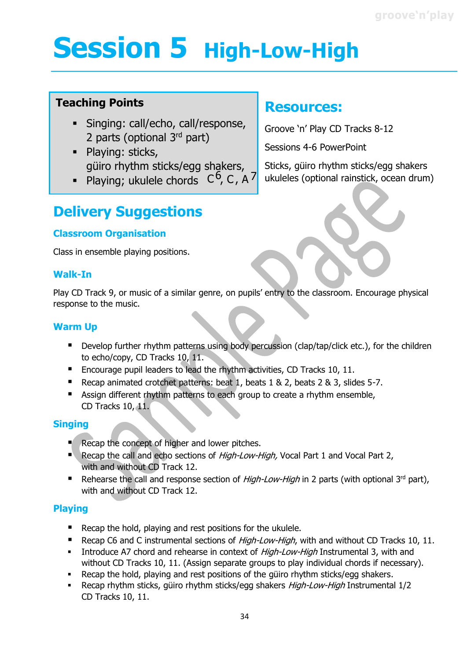## **Session 5 High-Low-High**

#### **Teaching Points**

- **·** Singing: call/echo, call/response, 2 parts (optional 3<sup>rd</sup> part)
- **·** Playing: sticks, güiro rhythm sticks/egg shakers,
- Playing; ukulele chords  $C^6$ , C, A<sup>7</sup>

### **Resources:**

Groove 'n' Play CD Tracks 8-12

Sessions 4-6 PowerPoint

Sticks, güiro rhythm sticks/egg shakers ukuleles (optional rainstick, ocean drum)

### **Delivery Suggestions**

#### **Classroom Organisation**

Class in ensemble playing positions.

#### **Walk-In**

Play CD Track 9, or music of a similar genre, on pupils' entry to the classroom. Encourage physical response to the music.

#### **Warm Up**

- Develop further rhythm patterns using body percussion (clap/tap/click etc.), for the children to echo/copy, CD Tracks 10, 11.
- Encourage pupil leaders to lead the rhythm activities, CD Tracks 10, 11.
- Recap animated crotchet patterns: beat 1, beats 1 & 2, beats 2 & 3, slides 5-7.
- Assign different rhythm patterns to each group to create a rhythm ensemble, CD Tracks 10, 11.

#### **Singing**

- Recap the concept of higher and lower pitches.
- Recap the call and echo sections of *High-Low-High*, Vocal Part 1 and Vocal Part 2, with and without CD Track 12.
- E Rehearse the call and response section of *High-Low-High* in 2 parts (with optional 3<sup>rd</sup> part), with and without CD Track 12.

#### **Playing**

- Recap the hold, playing and rest positions for the ukulele.
- Recap C6 and C instrumental sections of *High-Low-High*, with and without CD Tracks 10, 11.
- **■** Introduce A7 chord and rehearse in context of *High-Low-High* Instrumental 3, with and without CD Tracks 10, 11. (Assign separate groups to play individual chords if necessary).
- Recap the hold, playing and rest positions of the güiro rhythm sticks/egg shakers.
- Recap rhythm sticks, güiro rhythm sticks/egg shakers High-Low-High Instrumental 1/2 CD Tracks 10, 11.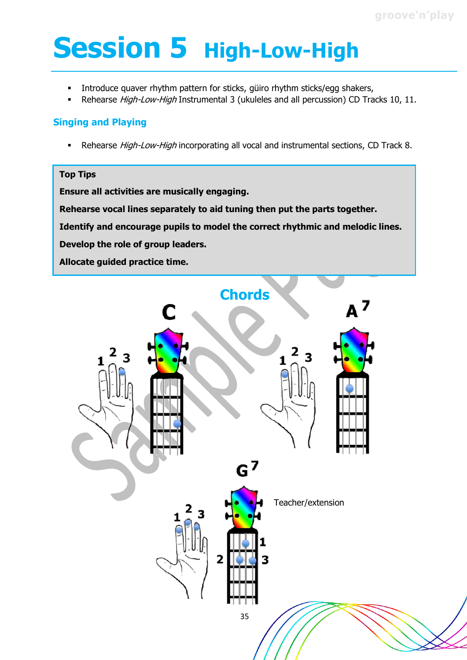# **Session 5 High-Low-High**

- **■** Introduce quaver rhythm pattern for sticks, güiro rhythm sticks/egg shakers,
- Rehearse *High-Low-High* Instrumental 3 (ukuleles and all percussion) CD Tracks 10, 11.

#### **Singing and Playing**

**EXECTED FIGH-LOW-High incorporating all vocal and instrumental sections, CD Track 8.** 

#### **Top Tips**

**Ensure all activities are musically engaging.**

**Rehearse vocal lines separately to aid tuning then put the parts together.**

**Identify and encourage pupils to model the correct rhythmic and melodic lines.**

**Develop the role of group leaders.**

**Allocate guided practice time.**